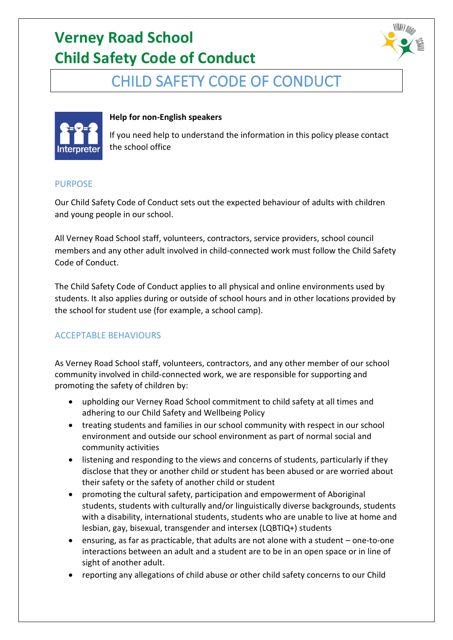# **Verney Road School Child Safety Code of Conduct**



### CHILD SAFETY CODE OF CONDUCT



#### **Help for non-English speakers**

If you need help to understand the information in this policy please contact the school office

#### PURPOSE

Our Child Safety Code of Conduct sets out the expected behaviour of adults with children and young people in our school.

All Verney Road School staff, volunteers, contractors, service providers, school council members and any other adult involved in child-connected work must follow the Child Safety Code of Conduct.

The Child Safety Code of Conduct applies to all physical and online environments used by students. It also applies during or outside of school hours and in other locations provided by the school for student use (for example, a school camp).

### ACCEPTABLE BEHAVIOURS

As Verney Road School staff, volunteers, contractors, and any other member of our school community involved in child-connected work, we are responsible for supporting and promoting the safety of children by:

- upholding our Verney Road School commitment to child safety at all times and adhering to our Child Safety and Wellbeing Policy
- treating students and families in our school community with respect in our school environment and outside our school environment as part of normal social and community activities
- listening and responding to the views and concerns of students, particularly if they disclose that they or another child or student has been abused or are worried about their safety or the safety of another child or student
- promoting the cultural safety, participation and empowerment of Aboriginal students, students with culturally and/or linguistically diverse backgrounds, students with a disability, international students, students who are unable to live at home and lesbian, gay, bisexual, transgender and intersex (LQBTIQ+) students
- ensuring, as far as practicable, that adults are not alone with a student one-to-one interactions between an adult and a student are to be in an open space or in line of sight of another adult.
- reporting any allegations of child abuse or other child safety concerns to our Child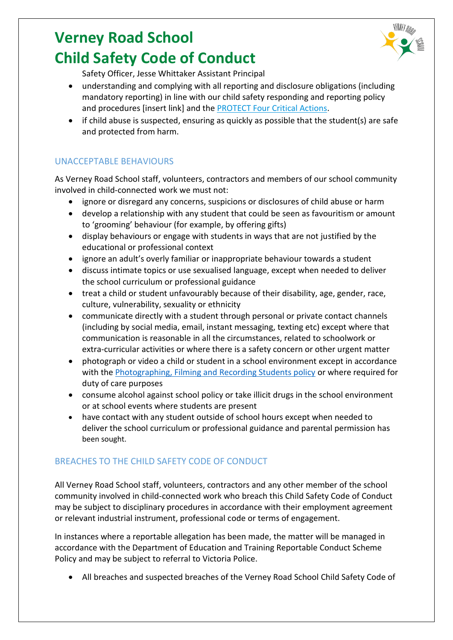# **Verney Road School Child Safety Code of Conduct**



Safety Officer, Jesse Whittaker Assistant Principal

- understanding and complying with all reporting and disclosure obligations (including mandatory reporting) in line with our child safety responding and reporting policy and procedures [insert link] and the [PROTECT Four Critical Actions.](https://www.education.vic.gov.au/Documents/about/programs/health/protect/FourCriticalActions_ChildAbuse.pdf)
- if child abuse is suspected, ensuring as quickly as possible that the student(s) are safe and protected from harm.

### UNACCEPTABLE BEHAVIOURS

As Verney Road School staff, volunteers, contractors and members of our school community involved in child-connected work we must not:

- ignore or disregard any concerns, suspicions or disclosures of child abuse or harm
- develop a relationship with any student that could be seen as favouritism or amount to 'grooming' behaviour (for example, by offering gifts)
- display behaviours or engage with students in ways that are not justified by the educational or professional context
- ignore an adult's overly familiar or inappropriate behaviour towards a student
- discuss intimate topics or use sexualised language, except when needed to deliver the school curriculum or professional guidance
- treat a child or student unfavourably because of their disability, age, gender, race, culture, vulnerability, sexuality or ethnicity
- communicate directly with a student through personal or private contact channels (including by social media, email, instant messaging, texting etc) except where that communication is reasonable in all the circumstances, related to schoolwork or extra-curricular activities or where there is a safety concern or other urgent matter
- photograph or video a child or student in a school environment except in accordance with the [Photographing, Filming and Recording Students policy](https://www2.education.vic.gov.au/pal/photographing-students/policy) or where required for duty of care purposes
- consume alcohol against school policy or take illicit drugs in the school environment or at school events where students are present
- have contact with any student outside of school hours except when needed to deliver the school curriculum or professional guidance and parental permission has been sought.

### BREACHES TO THE CHILD SAFETY CODE OF CONDUCT

All Verney Road School staff, volunteers, contractors and any other member of the school community involved in child-connected work who breach this Child Safety Code of Conduct may be subject to disciplinary procedures in accordance with their employment agreement or relevant industrial instrument, professional code or terms of engagement.

In instances where a reportable allegation has been made, the matter will be managed in accordance with the Department of Education and Training Reportable Conduct Scheme Policy and may be subject to referral to Victoria Police.

• All breaches and suspected breaches of the Verney Road School Child Safety Code of